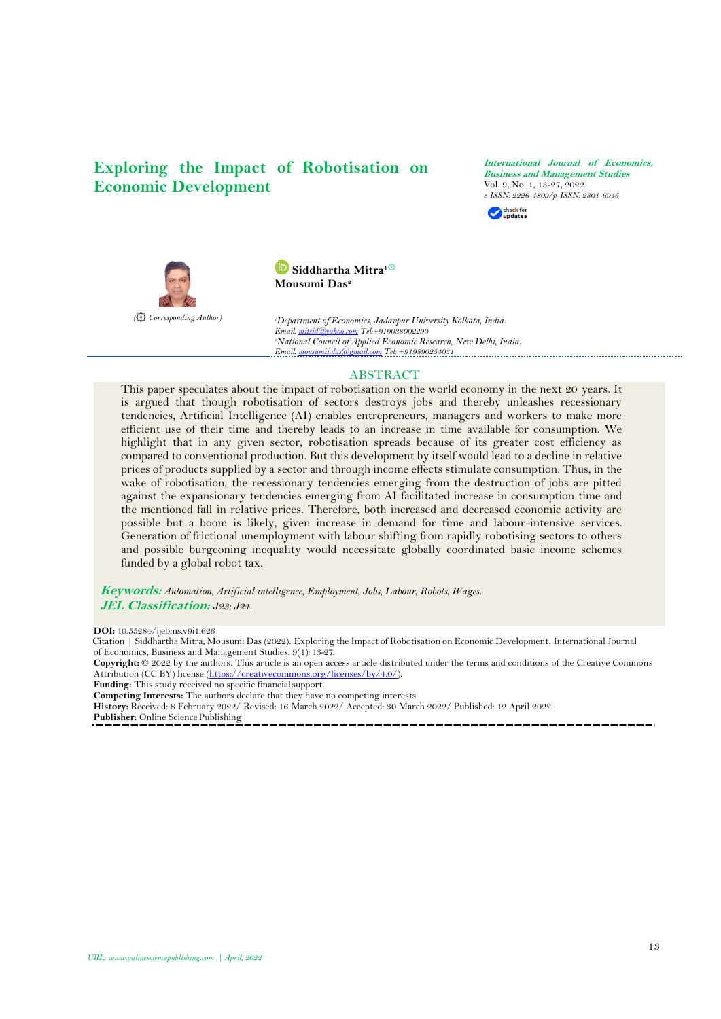# **Exploring the Impact of Robotisation on Economic Development**

**International Journal of Economics, Business and Management Studies** Vol. 9, No. 1, 13-27, 2022 *[e-ISSN: 2226-](https://www.doi.org/10.55284/ijebms.v9i1.626)4809/p-ISSN: 2304-6945*





**Siddhartha Mitra1** ۞ **Mousumi Das<sup>2</sup>**

*<sup>1</sup>Department of Economics, Jadavpur University Kolkata, India. Email[: mitsid@yahoo.com](mailto:mitsid@yahoo.com) Tel:+919038002290 <sup>2</sup>National Council of Applied Economic Research, New Delhi, India. Email[: mousumii.das@gmail.com](mailto:mousumii.das@gmail.com) Tel: +919890254031*

### ABSTRACT

This paper speculates about the impact of robotisation on the world economy in the next 20 years. It is argued that though robotisation of sectors destroys jobs and thereby unleashes recessionary tendencies, Artificial Intelligence (AI) enables entrepreneurs, managers and workers to make more efficient use of their time and thereby leads to an increase in time available for consumption. We highlight that in any given sector, robotisation spreads because of its greater cost efficiency as compared to conventional production. But this development by itself would lead to a decline in relative prices of products supplied by a sector and through income effects stimulate consumption. Thus, in the wake of robotisation, the recessionary tendencies emerging from the destruction of jobs are pitted against the expansionary tendencies emerging from AI facilitated increase in consumption time and the mentioned fall in relative prices. Therefore, both increased and decreased economic activity are possible but a boom is likely, given increase in demand for time and labour-intensive services. Generation of frictional unemployment with labour shifting from rapidly robotising sectors to others and possible burgeoning inequality would necessitate globally coordinated basic income schemes funded by a global robot tax.

**Keywords:** *Automation, Artificial intelligence, Employment, Jobs, Labour, Robots, Wages.* **JEL Classification:** *J23; J24.*

**DOI:** 10.55284/ijebms.v9i1.626

Citation | Siddhartha Mitra; Mousumi Das (2022). Exploring the Impact of Robotisation on Economic Development. International Journal of Economics, Business and Management Studies, 9(1): 13-27.

**Copyright:** © 2022 by the authors. This article is an open access article distributed under the terms and conditions of the Creative Commons Attribution (CC BY) license [\(https://creativecommons.org/licenses/by/4.0/\)](https://creativecommons.org/licenses/by/4.0/).

Funding: This study received no specific financial support.

**Competing Interests:** The authors declare that they have no competing interests.

**History:** Received: 8 February 2022/ Revised: 16 March 2022/ Accepted: 30 March 2022/ Published: 12 April 2022

Publisher: Online Science Publishing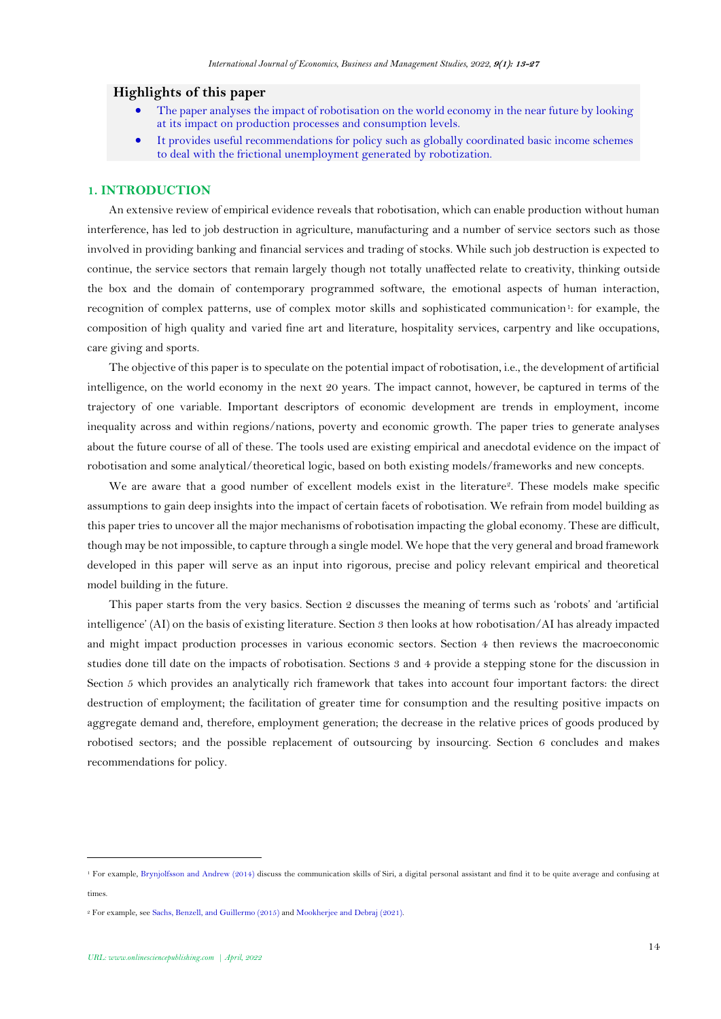### **Highlights of this paper**

- The paper analyses the impact of robotisation on the world economy in the near future by looking at its impact on production processes and consumption levels.
- It provides useful recommendations for policy such as globally coordinated basic income schemes to deal with the frictional unemployment generated by robotization.

#### **1. INTRODUCTION**

An extensive review of empirical evidence reveals that robotisation, which can enable production without human interference, has led to job destruction in agriculture, manufacturing and a number of service sectors such as those involved in providing banking and financial services and trading of stocks. While such job destruction is expected to continue, the service sectors that remain largely though not totally unaffected relate to creativity, thinking outside the box and the domain of contemporary programmed software, the emotional aspects of human interaction, recognition of complex patterns, use of complex motor skills and sophisticated communication<sup>1</sup>: for example, the composition of high quality and varied fine art and literature, hospitality services, carpentry and like occupations, care giving and sports.

The objective of this paper is to speculate on the potential impact of robotisation, i.e., the development of artificial intelligence, on the world economy in the next 20 years. The impact cannot, however, be captured in terms of the trajectory of one variable. Important descriptors of economic development are trends in employment, income inequality across and within regions/nations, poverty and economic growth. The paper tries to generate analyses about the future course of all of these. The tools used are existing empirical and anecdotal evidence on the impact of robotisation and some analytical/theoretical logic, based on both existing models/frameworks and new concepts.

We are aware that a good number of excellent models exist in the literature<sup>2</sup>. These models make specific assumptions to gain deep insights into the impact of certain facets of robotisation. We refrain from model building as this paper tries to uncover all the major mechanisms of robotisation impacting the global economy. These are difficult, though may be not impossible, to capture through a single model. We hope that the very general and broad framework developed in this paper will serve as an input into rigorous, precise and policy relevant empirical and theoretical model building in the future.

This paper starts from the very basics. Section 2 discusses the meaning of terms such as 'robots' and 'artificial intelligence' (AI) on the basis of existing literature. Section 3 then looks at how robotisation/AI has already impacted and might impact production processes in various economic sectors. Section 4 then reviews the macroeconomic studies done till date on the impacts of robotisation. Sections 3 and 4 provide a stepping stone for the discussion in Section 5 which provides an analytically rich framework that takes into account four important factors: the direct destruction of employment; the facilitation of greater time for consumption and the resulting positive impacts on aggregate demand and, therefore, employment generation; the decrease in the relative prices of goods produced by robotised sectors; and the possible replacement of outsourcing by insourcing. Section 6 concludes and makes recommendations for policy.

<sup>1</sup> For example[, Brynjolfsson and Andrew \(2014\)](#page-12-0) discuss the communication skills of Siri, a digital personal assistant and find it to be quite average and confusing at times

<sup>2</sup> For example, se[e Sachs, Benzell, and Guillermo \(2015\)](#page-13-0) and [Mookherjee and Debraj \(2021\)](#page-13-1).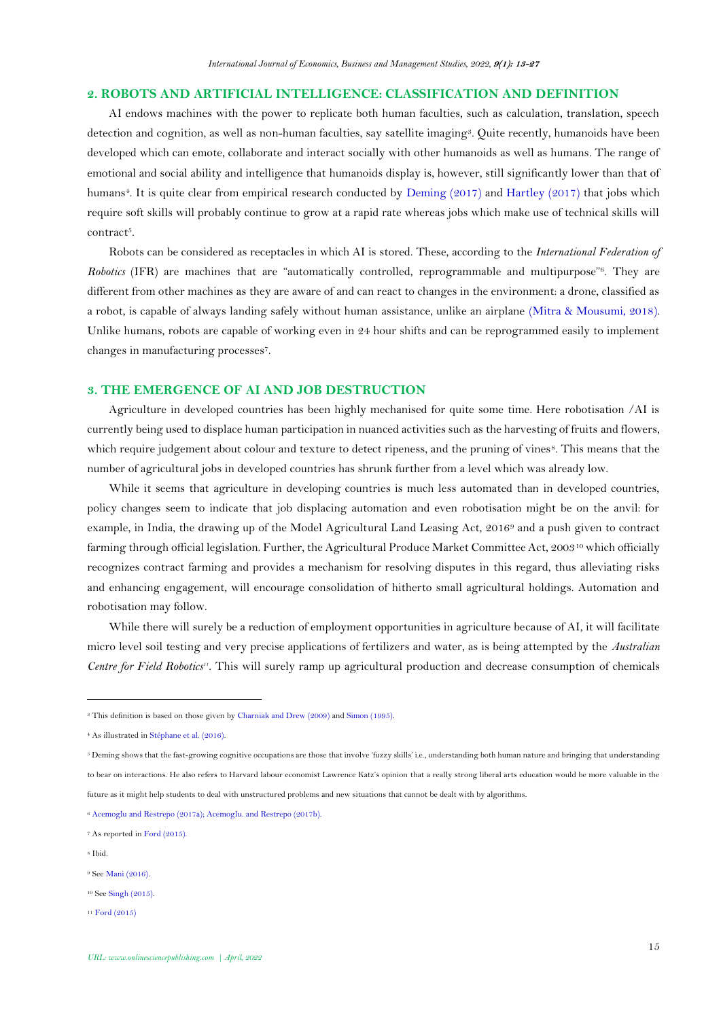#### **2. ROBOTS AND ARTIFICIAL INTELLIGENCE: CLASSIFICATION AND DEFINITION**

AI endows machines with the power to replicate both human faculties, such as calculation, translation, speech detection and cognition, as well as non-human faculties, say satellite imaging<sup>3</sup> . Quite recently, humanoids have been developed which can emote, collaborate and interact socially with other humanoids as well as humans. The range of emotional and social ability and intelligence that humanoids display is, however, still significantly lower than that of humans<sup>4</sup>. It is quite clear from empirical research conducted by [Deming \(2017\)](#page-12-1) and [Hartley \(2017\)](#page-12-2) that jobs which require soft skills will probably continue to grow at a rapid rate whereas jobs which make use of technical skills will contract<sup>5</sup>.

Robots can be considered as receptacles in which AI is stored. These, according to the *International Federation of*  Robotics (IFR) are machines that are "automatically controlled, reprogrammable and multipurpose"<sup>6</sup>. They are different from other machines as they are aware of and can react to changes in the environment: a drone, classified as a robot, is capable of always landing safely without human assistance, unlike an airplane [\(Mitra & Mousumi, 2018\)](#page-12-3). Unlike humans, robots are capable of working even in 24 hour shifts and can be reprogrammed easily to implement changes in manufacturing processes<sup>7</sup> .

### **3. THE EMERGENCE OF AI AND JOB DESTRUCTION**

Agriculture in developed countries has been highly mechanised for quite some time. Here robotisation /AI is currently being used to displace human participation in nuanced activities such as the harvesting of fruits and flowers, which require judgement about colour and texture to detect ripeness, and the pruning of vines<sup>8</sup>. This means that the number of agricultural jobs in developed countries has shrunk further from a level which was already low.

While it seems that agriculture in developing countries is much less automated than in developed countries, policy changes seem to indicate that job displacing automation and even robotisation might be on the anvil: for example, in India, the drawing up of the Model Agricultural Land Leasing Act, 2016<sup>9</sup> and a push given to contract farming through official legislation. Further, the Agricultural Produce Market Committee Act, 2003<sup>10</sup> which officially recognizes contract farming and provides a mechanism for resolving disputes in this regard, thus alleviating risks and enhancing engagement, will encourage consolidation of hitherto small agricultural holdings. Automation and robotisation may follow.

While there will surely be a reduction of employment opportunities in agriculture because of AI, it will facilitate micro level soil testing and very precise applications of fertilizers and water, as is being attempted by the *Australian Centre for Field Robotics11*. This will surely ramp up agricultural production and decrease consumption of chemicals

<sup>8</sup> Ibid.

<sup>11</sup> [Ford \(2015\)](#page-12-5)

<sup>3</sup> This definition is based on those given b[y Charniak and Drew \(2009\)](#page-12-4) an[d Simon \(1995\)](#page-13-2).

<sup>&</sup>lt;sup>4</sup> As illustrated i[n Stéphane et al. \(2016\)](#page-14-0).

<sup>&</sup>lt;sup>5</sup> Deming shows that the fast-growing cognitive occupations are those that involve 'fuzzy skills' i.e., understanding both human nature and bringing that understanding to bear on interactions. He also refers to Harvard labour economist Lawrence Katz's opinion that a really strong liberal arts education would be more valuable in the future as it might help students to deal with unstructured problems and new situations that cannot be dealt with by algorithms.

<sup>6</sup> [Acemoglu and Restrepo \(2017a\)](#page-11-0)[; Acemoglu. and Restrepo \(2017b\)](#page-11-1).

<sup>7</sup> As reported i[n Ford \(2015\)](#page-12-5).

<sup>&</sup>lt;sup>9</sup> Se[e Mani \(2016\).](#page-12-6)

<sup>10</sup> Se[e Singh \(2015\)](#page-13-3).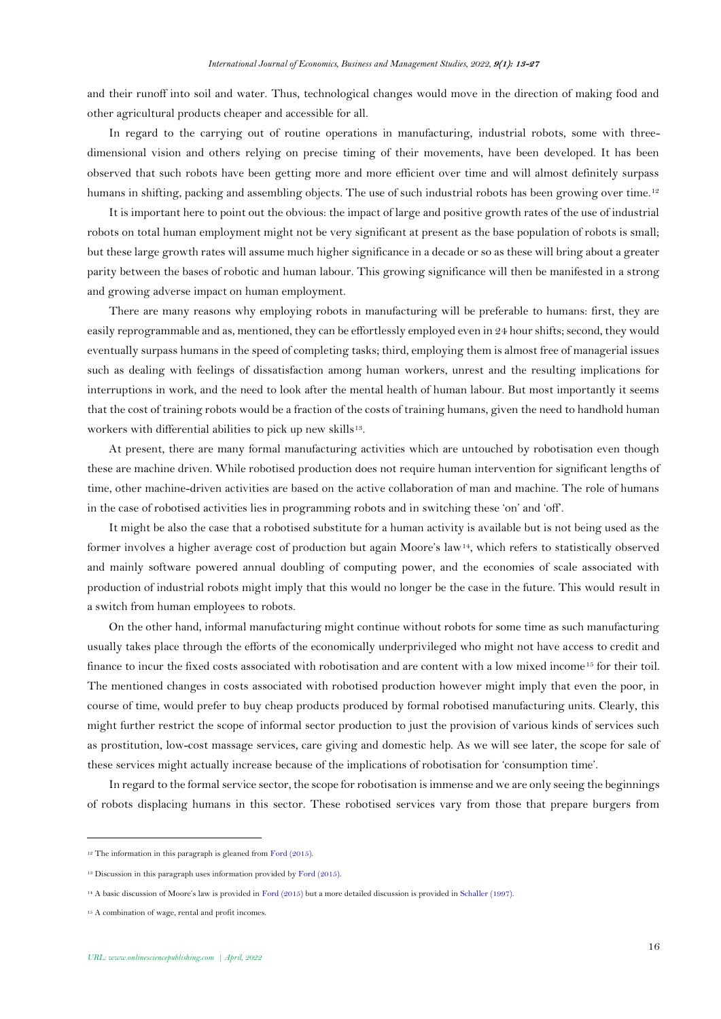and their runoff into soil and water. Thus, technological changes would move in the direction of making food and other agricultural products cheaper and accessible for all.

In regard to the carrying out of routine operations in manufacturing, industrial robots, some with threedimensional vision and others relying on precise timing of their movements, have been developed. It has been observed that such robots have been getting more and more efficient over time and will almost definitely surpass humans in shifting, packing and assembling objects. The use of such industrial robots has been growing over time.<sup>12</sup>

It is important here to point out the obvious: the impact of large and positive growth rates of the use of industrial robots on total human employment might not be very significant at present as the base population of robots is small; but these large growth rates will assume much higher significance in a decade or so as these will bring about a greater parity between the bases of robotic and human labour. This growing significance will then be manifested in a strong and growing adverse impact on human employment.

There are many reasons why employing robots in manufacturing will be preferable to humans: first, they are easily reprogrammable and as, mentioned, they can be effortlessly employed even in 24 hour shifts; second, they would eventually surpass humans in the speed of completing tasks; third, employing them is almost free of managerial issues such as dealing with feelings of dissatisfaction among human workers, unrest and the resulting implications for interruptions in work, and the need to look after the mental health of human labour. But most importantly it seems that the cost of training robots would be a fraction of the costs of training humans, given the need to handhold human workers with differential abilities to pick up new skills<sup>13</sup>.

At present, there are many formal manufacturing activities which are untouched by robotisation even though these are machine driven. While robotised production does not require human intervention for significant lengths of time, other machine-driven activities are based on the active collaboration of man and machine. The role of humans in the case of robotised activities lies in programming robots and in switching these 'on' and 'off'.

It might be also the case that a robotised substitute for a human activity is available but is not being used as the former involves a higher average cost of production but again Moore's law14, which refers to statistically observed and mainly software powered annual doubling of computing power, and the economies of scale associated with production of industrial robots might imply that this would no longer be the case in the future. This would result in a switch from human employees to robots.

On the other hand, informal manufacturing might continue without robots for some time as such manufacturing usually takes place through the efforts of the economically underprivileged who might not have access to credit and finance to incur the fixed costs associated with robotisation and are content with a low mixed income<sup>15</sup> for their toil. The mentioned changes in costs associated with robotised production however might imply that even the poor, in course of time, would prefer to buy cheap products produced by formal robotised manufacturing units. Clearly, this might further restrict the scope of informal sector production to just the provision of various kinds of services such as prostitution, low-cost massage services, care giving and domestic help. As we will see later, the scope for sale of these services might actually increase because of the implications of robotisation for 'consumption time'.

In regard to the formal service sector, the scope for robotisation is immense and we are only seeing the beginnings of robots displacing humans in this sector. These robotised services vary from those that prepare burgers from

<sup>&</sup>lt;sup>12</sup> The information in this paragraph is gleaned fro[m Ford \(2015\)](#page-12-5).

<sup>&</sup>lt;sup>13</sup> Discussion in this paragraph uses information provided by Ford  $(2015)$ .

<sup>14</sup> A basic discussion of Moore's law is provided in [Ford \(2015\)](#page-12-5) but a more detailed discussion is provided i[n Schaller \(1997\)](#page-13-4).

<sup>15</sup> A combination of wage, rental and profit incomes.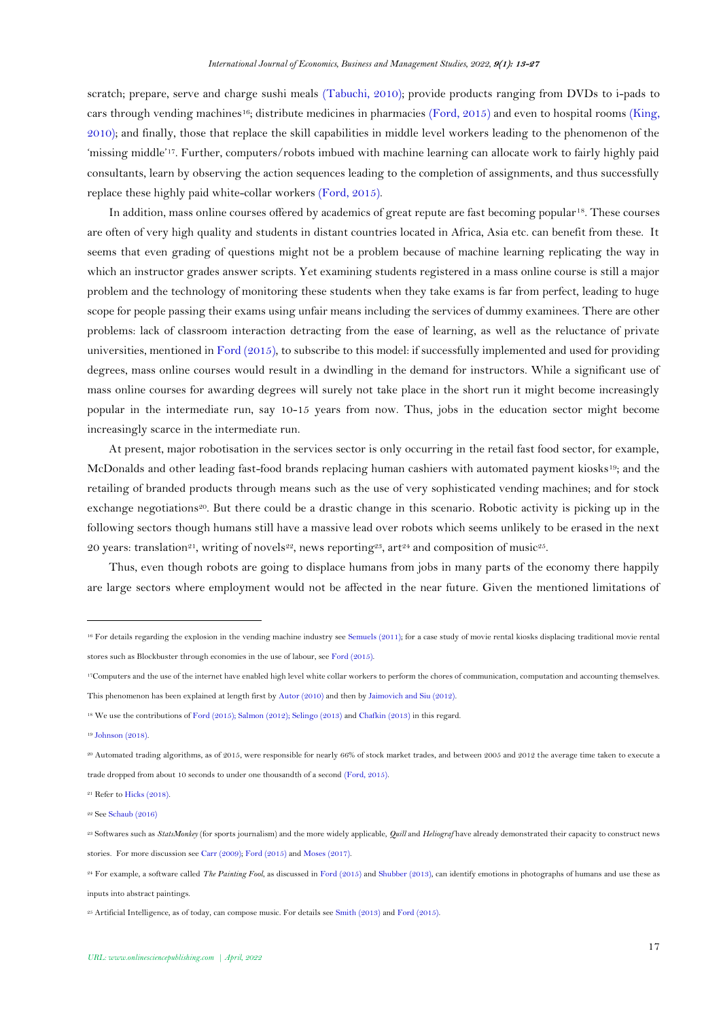scratch; prepare, serve and charge sushi meals [\(Tabuchi, 2010\)](#page-14-1); provide products ranging from DVDs to i-pads to cars through vending machines16; distribute medicines in pharmacies [\(Ford, 2015\)](#page-12-5) and even to hospital rooms [\(King,](#page-12-7)  [2010\)](#page-12-7); and finally, those that replace the skill capabilities in middle level workers leading to the phenomenon of the 'missing middle'17. Further, computers/robots imbued with machine learning can allocate work to fairly highly paid consultants, learn by observing the action sequences leading to the completion of assignments, and thus successfully replace these highly paid white-collar workers [\(Ford, 2015\)](#page-12-8).

In addition, mass online courses offered by academics of great repute are fast becoming popular<sup>18</sup>. These courses are often of very high quality and students in distant countries located in Africa, Asia etc. can benefit from these. It seems that even grading of questions might not be a problem because of machine learning replicating the way in which an instructor grades answer scripts. Yet examining students registered in a mass online course is still a major problem and the technology of monitoring these students when they take exams is far from perfect, leading to huge scope for people passing their exams using unfair means including the services of dummy examinees. There are other problems: lack of classroom interaction detracting from the ease of learning, as well as the reluctance of private universities, mentioned in [Ford \(2015\)](#page-12-5), to subscribe to this model: if successfully implemented and used for providing degrees, mass online courses would result in a dwindling in the demand for instructors. While a significant use of mass online courses for awarding degrees will surely not take place in the short run it might become increasingly popular in the intermediate run, say 10-15 years from now. Thus, jobs in the education sector might become increasingly scarce in the intermediate run.

At present, major robotisation in the services sector is only occurring in the retail fast food sector, for example, McDonalds and other leading fast-food brands replacing human cashiers with automated payment kiosks19; and the retailing of branded products through means such as the use of very sophisticated vending machines; and for stock exchange negotiations<sup>20</sup>. But there could be a drastic change in this scenario. Robotic activity is picking up in the following sectors though humans still have a massive lead over robots which seems unlikely to be erased in the next 20 years: translation<sup>21</sup>, writing of novels<sup>22</sup>, news reporting<sup>23</sup>, art<sup>24</sup> and composition of music<sup>25</sup>.

Thus, even though robots are going to displace humans from jobs in many parts of the economy there happily are large sectors where employment would not be affected in the near future. Given the mentioned limitations of

 $20$  Automated trading algorithms, as of 2015, were responsible for nearly 66% of stock market trades, and between 2005 and 2012 the average time taken to execute a trade dropped from about 10 seconds to under one thousandth of a second [\(Ford, 2015\)](#page-12-5).

<sup>16</sup> For details regarding the explosion in the vending machine industry se[e Semuels \(2011\)](#page-13-5); for a case study of movie rental kiosks displacing traditional movie rental stores such as Blockbuster through economies in the use of labour, se[e Ford \(2015\).](#page-12-5)

<sup>17</sup>Computers and the use of the internet have enabled high level white collar workers to perform the chores of communication, computation and accounting themselves. This phenomenon has been explained at length first b[y Autor \(2010\)](#page-11-2) and then b[y Jaimovich and Siu \(2012\).](#page-12-9)

<sup>18</sup> We use the contributions o[f Ford \(2015\);](#page-12-5) [Salmon \(2012\)](#page-13-6); [Selingo \(2013\)](#page-13-7) an[d Chafkin \(2013\)](#page-12-10) in this regard.

<sup>19</sup> [Johnson \(2018\).](#page-12-11)

<sup>21</sup> Refer t[o Hicks \(2018\)](#page-12-12).

<sup>22</sup> Se[e Schaub \(2016\)](#page-13-8)

<sup>23</sup> Softwares such as *StatsMonkey* (for sports journalism) and the more widely applicable, *Quill* and *Heliograf* have already demonstrated their capacity to construct news stories. For more discussion se[e Carr \(2009\)](#page-12-13); [Ford \(2015\)](#page-12-8) an[d Moses \(2017\)](#page-13-9).

<sup>24</sup> For example, a software called *The Painting Fool*, as discussed i[n Ford \(2015\)](#page-12-8) an[d Shubber \(2013\)](#page-13-10), can identify emotions in photographs of humans and use these as inputs into abstract paintings.

<sup>&</sup>lt;sup>25</sup> Artificial Intelligence, as of today, can compose music. For details se[e Smith \(2013\)](#page-13-11) an[d Ford \(2015\)](#page-12-8).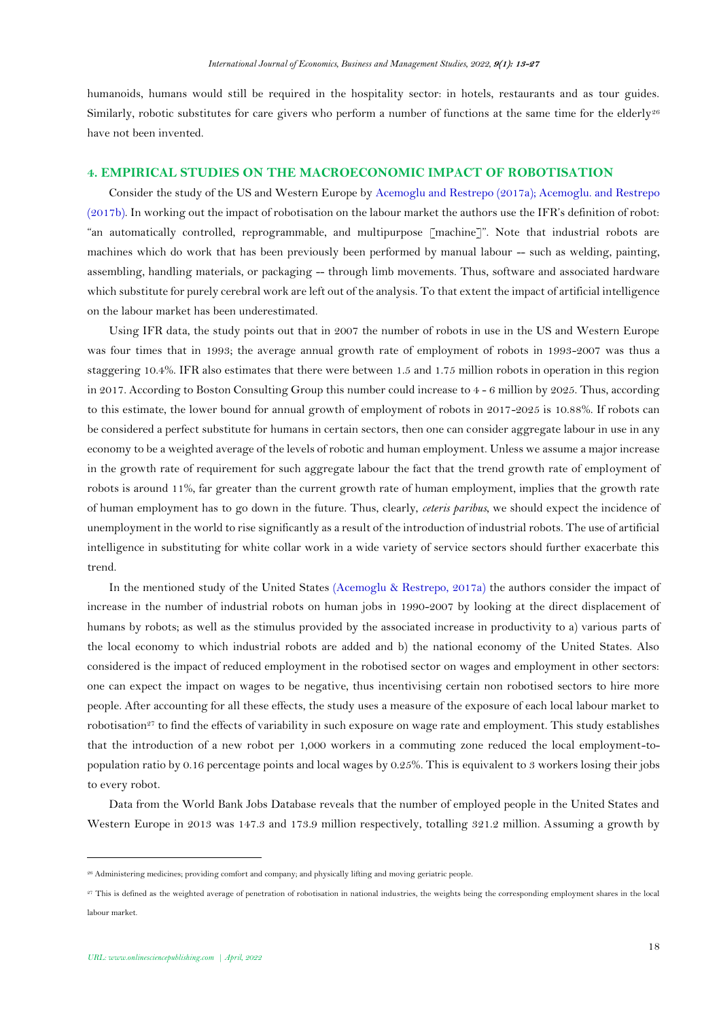humanoids, humans would still be required in the hospitality sector: in hotels, restaurants and as tour guides. Similarly, robotic substitutes for care givers who perform a number of functions at the same time for the elderly<sup>26</sup> have not been invented.

#### **4. EMPIRICAL STUDIES ON THE MACROECONOMIC IMPACT OF ROBOTISATION**

Consider the study of the US and Western Europe by [Acemoglu and Restrepo \(2017a\)](#page-11-0); [Acemoglu. and Restrepo](#page-11-1)  [\(2017b\)](#page-11-1). In working out the impact of robotisation on the labour market the authors use the IFR's definition of robot: "an automatically controlled, reprogrammable, and multipurpose [machine]". Note that industrial robots are machines which do work that has been previously been performed by manual labour -- such as welding, painting, assembling, handling materials, or packaging -- through limb movements. Thus, software and associated hardware which substitute for purely cerebral work are left out of the analysis. To that extent the impact of artificial intelligence on the labour market has been underestimated.

Using IFR data, the study points out that in 2007 the number of robots in use in the US and Western Europe was four times that in 1993; the average annual growth rate of employment of robots in 1993-2007 was thus a staggering 10.4%. IFR also estimates that there were between 1.5 and 1.75 million robots in operation in this region in 2017. According to Boston Consulting Group this number could increase to 4 - 6 million by 2025. Thus, according to this estimate, the lower bound for annual growth of employment of robots in 2017-2025 is 10.88%. If robots can be considered a perfect substitute for humans in certain sectors, then one can consider aggregate labour in use in any economy to be a weighted average of the levels of robotic and human employment. Unless we assume a major increase in the growth rate of requirement for such aggregate labour the fact that the trend growth rate of employment of robots is around 11%, far greater than the current growth rate of human employment, implies that the growth rate of human employment has to go down in the future. Thus, clearly, *ceteris paribus*, we should expect the incidence of unemployment in the world to rise significantly as a result of the introduction of industrial robots. The use of artificial intelligence in substituting for white collar work in a wide variety of service sectors should further exacerbate this trend.

In the mentioned study of the United States [\(Acemoglu & Restrepo, 2017a\)](#page-11-0) the authors consider the impact of increase in the number of industrial robots on human jobs in 1990-2007 by looking at the direct displacement of humans by robots; as well as the stimulus provided by the associated increase in productivity to a) various parts of the local economy to which industrial robots are added and b) the national economy of the United States. Also considered is the impact of reduced employment in the robotised sector on wages and employment in other sectors: one can expect the impact on wages to be negative, thus incentivising certain non robotised sectors to hire more people. After accounting for all these effects, the study uses a measure of the exposure of each local labour market to robotisation<sup>27</sup> to find the effects of variability in such exposure on wage rate and employment. This study establishes that the introduction of a new robot per 1,000 workers in a commuting zone reduced the local employment-topopulation ratio by 0.16 percentage points and local wages by 0.25%. This is equivalent to 3 workers losing their jobs to every robot.

Data from the World Bank Jobs Database reveals that the number of employed people in the United States and Western Europe in 2013 was 147.3 and 173.9 million respectively, totalling 321.2 million. Assuming a growth by

<sup>26</sup> Administering medicines; providing comfort and company; and physically lifting and moving geriatric people.

<sup>27</sup> This is defined as the weighted average of penetration of robotisation in national industries, the weights being the corresponding employment shares in the local labour market.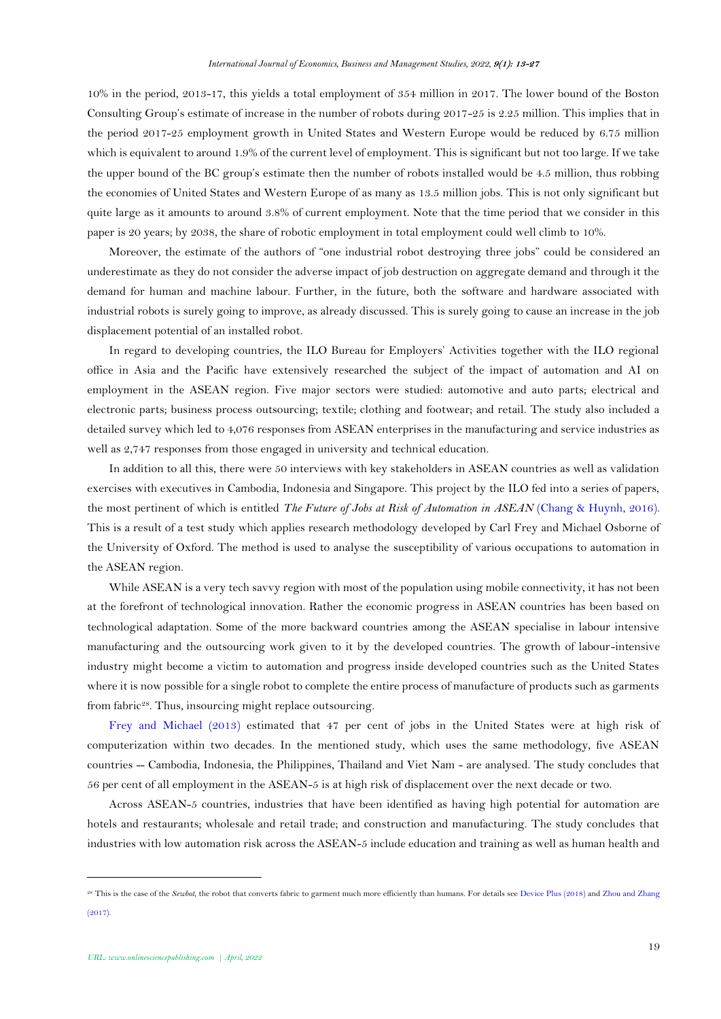10% in the period, 2013-17, this yields a total employment of 354 million in 2017. The lower bound of the Boston Consulting Group's estimate of increase in the number of robots during 2017-25 is 2.25 million. This implies that in the period 2017-25 employment growth in United States and Western Europe would be reduced by 6.75 million which is equivalent to around 1.9% of the current level of employment. This is significant but not too large. If we take the upper bound of the BC group's estimate then the number of robots installed would be 4.5 million, thus robbing the economies of United States and Western Europe of as many as 13.5 million jobs. This is not only significant but quite large as it amounts to around 3.8% of current employment. Note that the time period that we consider in this paper is 20 years; by 2038, the share of robotic employment in total employment could well climb to 10%.

Moreover, the estimate of the authors of "one industrial robot destroying three jobs" could be considered an underestimate as they do not consider the adverse impact of job destruction on aggregate demand and through it the demand for human and machine labour. Further, in the future, both the software and hardware associated with industrial robots is surely going to improve, as already discussed. This is surely going to cause an increase in the job displacement potential of an installed robot.

In regard to developing countries, the ILO Bureau for Employers' Activities together with the ILO regional office in Asia and the Pacific have extensively researched the subject of the impact of automation and AI on employment in the ASEAN region. Five major sectors were studied: automotive and auto parts; electrical and electronic parts; business process outsourcing; textile; clothing and footwear; and retail. The study also included a detailed survey which led to 4,076 responses from ASEAN enterprises in the manufacturing and service industries as well as 2,747 responses from those engaged in university and technical education.

In addition to all this, there were 50 interviews with key stakeholders in ASEAN countries as well as validation exercises with executives in Cambodia, Indonesia and Singapore. This project by the ILO fed into a series of papers, the most pertinent of which is entitled *The Future of Jobs at Risk of Automation in ASEAN* [\(Chang & Huynh, 2016\)](#page-12-14). This is a result of a test study which applies research methodology developed by Carl Frey and Michael Osborne of the University of Oxford. The method is used to analyse the susceptibility of various occupations to automation in the ASEAN region.

While ASEAN is a very tech savvy region with most of the population using mobile connectivity, it has not been at the forefront of technological innovation. Rather the economic progress in ASEAN countries has been based on technological adaptation. Some of the more backward countries among the ASEAN specialise in labour intensive manufacturing and the outsourcing work given to it by the developed countries. The growth of labour-intensive industry might become a victim to automation and progress inside developed countries such as the United States where it is now possible for a single robot to complete the entire process of manufacture of products such as garments from fabric<sup>28</sup>. Thus, insourcing might replace outsourcing.

[Frey and Michael \(2013\)](#page-12-15) estimated that 47 per cent of jobs in the United States were at high risk of computerization within two decades. In the mentioned study, which uses the same methodology, five ASEAN countries -- Cambodia, Indonesia, the Philippines, Thailand and Viet Nam - are analysed. The study concludes that 56 per cent of all employment in the ASEAN-5 is at high risk of displacement over the next decade or two.

Across ASEAN-5 countries, industries that have been identified as having high potential for automation are hotels and restaurants; wholesale and retail trade; and construction and manufacturing. The study concludes that industries with low automation risk across the ASEAN-5 include education and training as well as human health and

<sup>&</sup>lt;sup>28</sup> This is the case of the *Sewbot*, the robot that converts fabric to garment much more efficiently than humans. For details se[e Device Plus \(2018\)](#page-12-16) an[d Zhou and](#page-14-2) Zhang [\(2017\)](#page-14-2).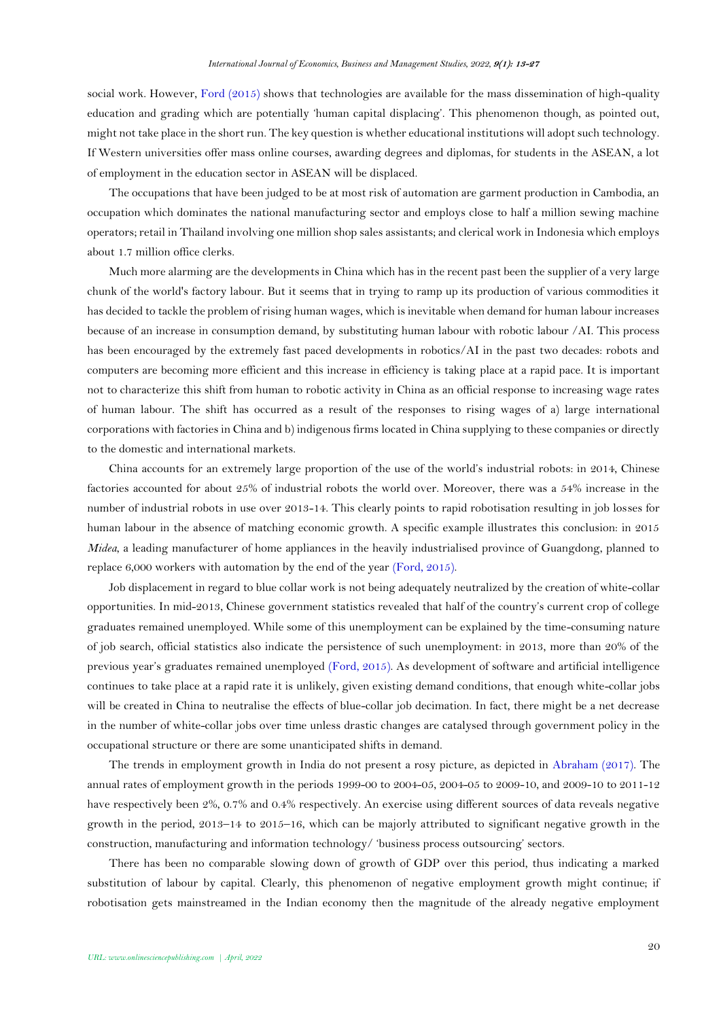social work. However, [Ford \(2015\)](#page-12-8) shows that technologies are available for the mass dissemination of high-quality education and grading which are potentially 'human capital displacing'. This phenomenon though, as pointed out, might not take place in the short run. The key question is whether educational institutions will adopt such technology. If Western universities offer mass online courses, awarding degrees and diplomas, for students in the ASEAN, a lot of employment in the education sector in ASEAN will be displaced.

The occupations that have been judged to be at most risk of automation are garment production in Cambodia, an occupation which dominates the national manufacturing sector and employs close to half a million sewing machine operators; retail in Thailand involving one million shop sales assistants; and clerical work in Indonesia which employs about 1.7 million office clerks.

Much more alarming are the developments in China which has in the recent past been the supplier of a very large chunk of the world's factory labour. But it seems that in trying to ramp up its production of various commodities it has decided to tackle the problem of rising human wages, which is inevitable when demand for human labour increases because of an increase in consumption demand, by substituting human labour with robotic labour /AI. This process has been encouraged by the extremely fast paced developments in robotics/AI in the past two decades: robots and computers are becoming more efficient and this increase in efficiency is taking place at a rapid pace. It is important not to characterize this shift from human to robotic activity in China as an official response to increasing wage rates of human labour. The shift has occurred as a result of the responses to rising wages of a) large international corporations with factories in China and b) indigenous firms located in China supplying to these companies or directly to the domestic and international markets.

China accounts for an extremely large proportion of the use of the world's industrial robots: in 2014, Chinese factories accounted for about 25% of industrial robots the world over. Moreover, there was a 54% increase in the number of industrial robots in use over 2013-14. This clearly points to rapid robotisation resulting in job losses for human labour in the absence of matching economic growth. A specific example illustrates this conclusion: in 2015 *Midea*, a leading manufacturer of home appliances in the heavily industrialised province of Guangdong, planned to replace 6,000 workers with automation by the end of the year [\(Ford, 2015\)](#page-12-5).

Job displacement in regard to blue collar work is not being adequately neutralized by the creation of white-collar opportunities. In mid-2013, Chinese government statistics revealed that half of the country's current crop of college graduates remained unemployed. While some of this unemployment can be explained by the time-consuming nature of job search, official statistics also indicate the persistence of such unemployment: in 2013, more than 20% of the previous year's graduates remained unemployed [\(Ford, 2015\)](#page-12-5). As development of software and artificial intelligence continues to take place at a rapid rate it is unlikely, given existing demand conditions, that enough white-collar jobs will be created in China to neutralise the effects of blue-collar job decimation. In fact, there might be a net decrease in the number of white-collar jobs over time unless drastic changes are catalysed through government policy in the occupational structure or there are some unanticipated shifts in demand.

The trends in employment growth in India do not present a rosy picture, as depicted in [Abraham \(2017\)](#page-11-3). The annual rates of employment growth in the periods 1999-00 to 2004-05, 2004-05 to 2009-10, and 2009-10 to 2011-12 have respectively been 2%, 0.7% and 0.4% respectively. An exercise using different sources of data reveals negative growth in the period, 2013–14 to 2015–16, which can be majorly attributed to significant negative growth in the construction, manufacturing and information technology/ 'business process outsourcing' sectors.

There has been no comparable slowing down of growth of GDP over this period, thus indicating a marked substitution of labour by capital. Clearly, this phenomenon of negative employment growth might continue; if robotisation gets mainstreamed in the Indian economy then the magnitude of the already negative employment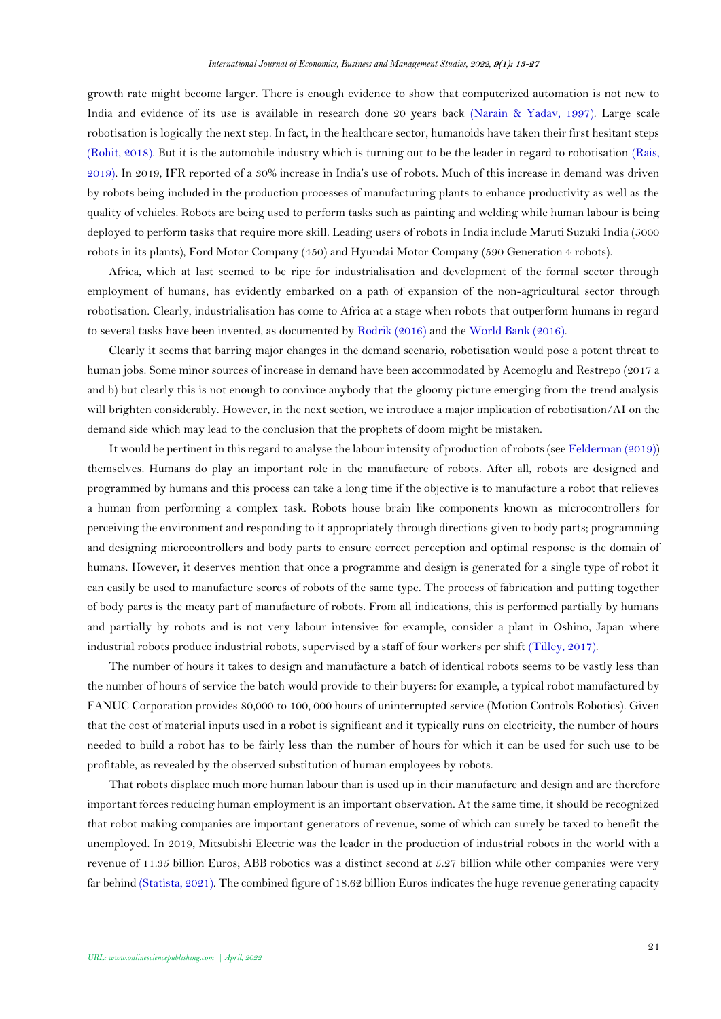growth rate might become larger. There is enough evidence to show that computerized automation is not new to India and evidence of its use is available in research done 20 years back [\(Narain & Yadav, 1997\)](#page-13-12). Large scale robotisation is logically the next step. In fact, in the healthcare sector, humanoids have taken their first hesitant steps [\(Rohit, 2018\)](#page-13-13). But it is the automobile industry which is turning out to be the leader in regard to robotisation [\(Rais,](#page-13-14)  [2019\)](#page-13-14). In 2019, IFR reported of a 30% increase in India's use of robots. Much of this increase in demand was driven by robots being included in the production processes of manufacturing plants to enhance productivity as well as the quality of vehicles. Robots are being used to perform tasks such as painting and welding while human labour is being deployed to perform tasks that require more skill. Leading users of robots in India include Maruti Suzuki India (5000 robots in its plants), Ford Motor Company (450) and Hyundai Motor Company (590 Generation 4 robots).

Africa, which at last seemed to be ripe for industrialisation and development of the formal sector through employment of humans, has evidently embarked on a path of expansion of the non-agricultural sector through robotisation. Clearly, industrialisation has come to Africa at a stage when robots that outperform humans in regard to several tasks have been invented, as documented by [Rodrik \(2016\)](#page-13-15) and the [World Bank \(2016\)](#page-14-3).

Clearly it seems that barring major changes in the demand scenario, robotisation would pose a potent threat to human jobs. Some minor sources of increase in demand have been accommodated by Acemoglu and Restrepo (2017 a and b) but clearly this is not enough to convince anybody that the gloomy picture emerging from the trend analysis will brighten considerably. However, in the next section, we introduce a major implication of robotisation/AI on the demand side which may lead to the conclusion that the prophets of doom might be mistaken.

It would be pertinent in this regard to analyse the labour intensity of production of robots (se[e Felderman \(2019\)](#page-12-17)) themselves. Humans do play an important role in the manufacture of robots. After all, robots are designed and programmed by humans and this process can take a long time if the objective is to manufacture a robot that relieves a human from performing a complex task. Robots house brain like components known as microcontrollers for perceiving the environment and responding to it appropriately through directions given to body parts; programming and designing microcontrollers and body parts to ensure correct perception and optimal response is the domain of humans. However, it deserves mention that once a programme and design is generated for a single type of robot it can easily be used to manufacture scores of robots of the same type. The process of fabrication and putting together of body parts is the meaty part of manufacture of robots. From all indications, this is performed partially by humans and partially by robots and is not very labour intensive: for example, consider a plant in Oshino, Japan where industrial robots produce industrial robots, supervised by a staff of four workers per shift [\(Tilley, 2017\)](#page-14-4).

The number of hours it takes to design and manufacture a batch of identical robots seems to be vastly less than the number of hours of service the batch would provide to their buyers: for example, a typical robot manufactured by FANUC Corporation provides 80,000 to 100, 000 hours of uninterrupted service (Motion Controls Robotics). Given that the cost of material inputs used in a robot is significant and it typically runs on electricity, the number of hours needed to build a robot has to be fairly less than the number of hours for which it can be used for such use to be profitable, as revealed by the observed substitution of human employees by robots.

That robots displace much more human labour than is used up in their manufacture and design and are therefore important forces reducing human employment is an important observation. At the same time, it should be recognized that robot making companies are important generators of revenue, some of which can surely be taxed to benefit the unemployed. In 2019, Mitsubishi Electric was the leader in the production of industrial robots in the world with a revenue of 11.35 billion Euros; ABB robotics was a distinct second at 5.27 billion while other companies were very far behind [\(Statista, 2021\)](#page-13-16). The combined figure of 18.62 billion Euros indicates the huge revenue generating capacity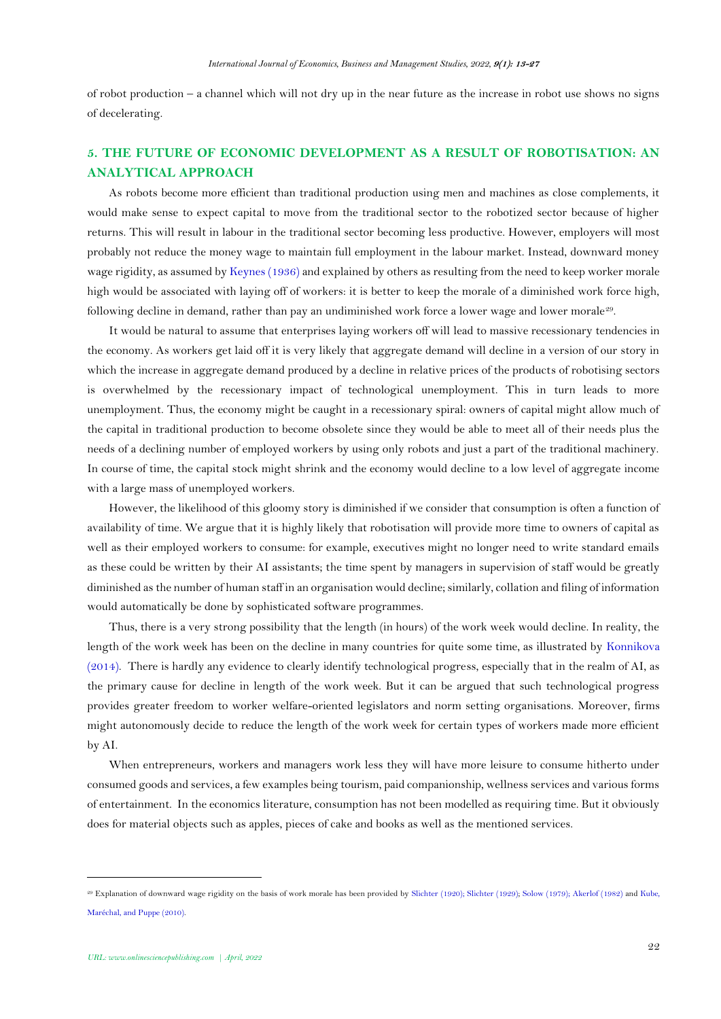of robot production – a channel which will not dry up in the near future as the increase in robot use shows no signs of decelerating.

## **5. THE FUTURE OF ECONOMIC DEVELOPMENT AS A RESULT OF ROBOTISATION: AN ANALYTICAL APPROACH**

As robots become more efficient than traditional production using men and machines as close complements, it would make sense to expect capital to move from the traditional sector to the robotized sector because of higher returns. This will result in labour in the traditional sector becoming less productive. However, employers will most probably not reduce the money wage to maintain full employment in the labour market. Instead, downward money wage rigidity, as assumed b[y Keynes \(1936\)](#page-12-18) and explained by others as resulting from the need to keep worker morale high would be associated with laying off of workers: it is better to keep the morale of a diminished work force high, following decline in demand, rather than pay an undiminished work force a lower wage and lower morale<sup>29</sup>.

It would be natural to assume that enterprises laying workers off will lead to massive recessionary tendencies in the economy. As workers get laid off it is very likely that aggregate demand will decline in a version of our story in which the increase in aggregate demand produced by a decline in relative prices of the products of robotising sectors is overwhelmed by the recessionary impact of technological unemployment. This in turn leads to more unemployment. Thus, the economy might be caught in a recessionary spiral: owners of capital might allow much of the capital in traditional production to become obsolete since they would be able to meet all of their needs plus the needs of a declining number of employed workers by using only robots and just a part of the traditional machinery. In course of time, the capital stock might shrink and the economy would decline to a low level of aggregate income with a large mass of unemployed workers.

However, the likelihood of this gloomy story is diminished if we consider that consumption is often a function of availability of time. We argue that it is highly likely that robotisation will provide more time to owners of capital as well as their employed workers to consume: for example, executives might no longer need to write standard emails as these could be written by their AI assistants; the time spent by managers in supervision of staff would be greatly diminished as the number of human staff in an organisation would decline; similarly, collation and filing of information would automatically be done by sophisticated software programmes.

Thus, there is a very strong possibility that the length (in hours) of the work week would decline. In reality, the length of the work week has been on the decline in many countries for quite some time, as illustrated by [Konnikova](#page-12-19)  [\(2014\)](#page-12-19). There is hardly any evidence to clearly identify technological progress, especially that in the realm of AI, as the primary cause for decline in length of the work week. But it can be argued that such technological progress provides greater freedom to worker welfare-oriented legislators and norm setting organisations. Moreover, firms might autonomously decide to reduce the length of the work week for certain types of workers made more efficient by AI.

When entrepreneurs, workers and managers work less they will have more leisure to consume hitherto under consumed goods and services, a few examples being tourism, paid companionship, wellness services and various forms of entertainment. In the economics literature, consumption has not been modelled as requiring time. But it obviously does for material objects such as apples, pieces of cake and books as well as the mentioned services.

<sup>29</sup> Explanation of downward wage rigidity on the basis of work morale has been provided b[y Slichter \(1920\)](#page-13-17)[; Slichter \(1929\)](#page-13-18); [Solow \(1979\)](#page-13-19); [Akerlof \(1982\)](#page-11-4) an[d Kube,](#page-12-20)  [Maréchal, and Puppe \(2010\)](#page-12-20).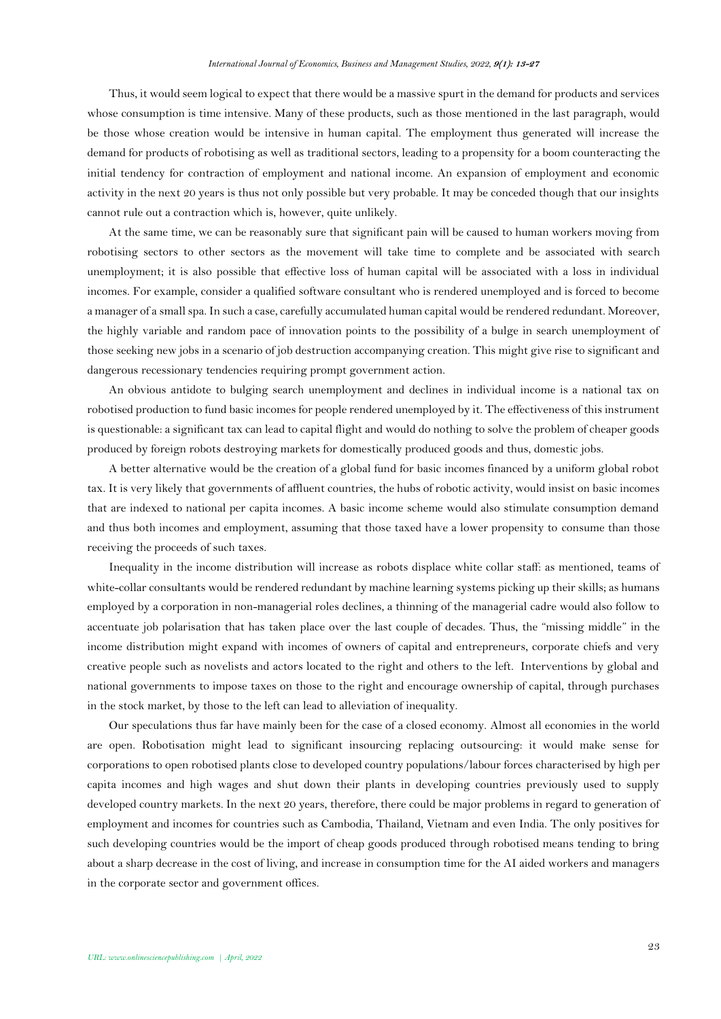Thus, it would seem logical to expect that there would be a massive spurt in the demand for products and services whose consumption is time intensive. Many of these products, such as those mentioned in the last paragraph, would be those whose creation would be intensive in human capital. The employment thus generated will increase the demand for products of robotising as well as traditional sectors, leading to a propensity for a boom counteracting the initial tendency for contraction of employment and national income. An expansion of employment and economic activity in the next 20 years is thus not only possible but very probable. It may be conceded though that our insights cannot rule out a contraction which is, however, quite unlikely.

At the same time, we can be reasonably sure that significant pain will be caused to human workers moving from robotising sectors to other sectors as the movement will take time to complete and be associated with search unemployment; it is also possible that effective loss of human capital will be associated with a loss in individual incomes. For example, consider a qualified software consultant who is rendered unemployed and is forced to become a manager of a small spa. In such a case, carefully accumulated human capital would be rendered redundant. Moreover, the highly variable and random pace of innovation points to the possibility of a bulge in search unemployment of those seeking new jobs in a scenario of job destruction accompanying creation. This might give rise to significant and dangerous recessionary tendencies requiring prompt government action.

An obvious antidote to bulging search unemployment and declines in individual income is a national tax on robotised production to fund basic incomes for people rendered unemployed by it. The effectiveness of this instrument is questionable: a significant tax can lead to capital flight and would do nothing to solve the problem of cheaper goods produced by foreign robots destroying markets for domestically produced goods and thus, domestic jobs.

A better alternative would be the creation of a global fund for basic incomes financed by a uniform global robot tax. It is very likely that governments of affluent countries, the hubs of robotic activity, would insist on basic incomes that are indexed to national per capita incomes. A basic income scheme would also stimulate consumption demand and thus both incomes and employment, assuming that those taxed have a lower propensity to consume than those receiving the proceeds of such taxes.

Inequality in the income distribution will increase as robots displace white collar staff: as mentioned, teams of white-collar consultants would be rendered redundant by machine learning systems picking up their skills; as humans employed by a corporation in non-managerial roles declines, a thinning of the managerial cadre would also follow to accentuate job polarisation that has taken place over the last couple of decades. Thus, the "missing middle" in the income distribution might expand with incomes of owners of capital and entrepreneurs, corporate chiefs and very creative people such as novelists and actors located to the right and others to the left. Interventions by global and national governments to impose taxes on those to the right and encourage ownership of capital, through purchases in the stock market, by those to the left can lead to alleviation of inequality.

Our speculations thus far have mainly been for the case of a closed economy. Almost all economies in the world are open. Robotisation might lead to significant insourcing replacing outsourcing: it would make sense for corporations to open robotised plants close to developed country populations/labour forces characterised by high per capita incomes and high wages and shut down their plants in developing countries previously used to supply developed country markets. In the next 20 years, therefore, there could be major problems in regard to generation of employment and incomes for countries such as Cambodia, Thailand, Vietnam and even India. The only positives for such developing countries would be the import of cheap goods produced through robotised means tending to bring about a sharp decrease in the cost of living, and increase in consumption time for the AI aided workers and managers in the corporate sector and government offices.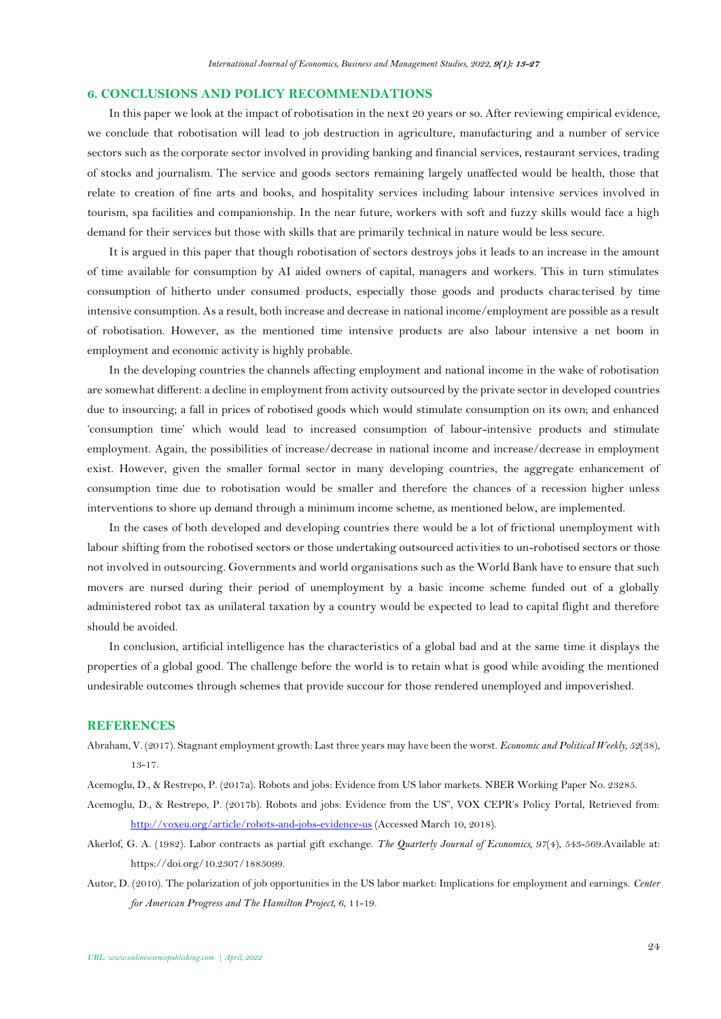#### **6. CONCLUSIONS AND POLICY RECOMMENDATIONS**

In this paper we look at the impact of robotisation in the next 20 years or so. After reviewing empirical evidence, we conclude that robotisation will lead to job destruction in agriculture, manufacturing and a number of service sectors such as the corporate sector involved in providing banking and financial services, restaurant services, trading of stocks and journalism. The service and goods sectors remaining largely unaffected would be health, those that relate to creation of fine arts and books, and hospitality services including labour intensive services involved in tourism, spa facilities and companionship. In the near future, workers with soft and fuzzy skills would face a high demand for their services but those with skills that are primarily technical in nature would be less secure.

It is argued in this paper that though robotisation of sectors destroys jobs it leads to an increase in the amount of time available for consumption by AI aided owners of capital, managers and workers. This in turn stimulates consumption of hitherto under consumed products, especially those goods and products characterised by time intensive consumption. As a result, both increase and decrease in national income/employment are possible as a result of robotisation. However, as the mentioned time intensive products are also labour intensive a net boom in employment and economic activity is highly probable.

In the developing countries the channels affecting employment and national income in the wake of robotisation are somewhat different: a decline in employment from activity outsourced by the private sector in developed countries due to insourcing; a fall in prices of robotised goods which would stimulate consumption on its own; and enhanced 'consumption time' which would lead to increased consumption of labour-intensive products and stimulate employment. Again, the possibilities of increase/decrease in national income and increase/decrease in employment exist. However, given the smaller formal sector in many developing countries, the aggregate enhancement of consumption time due to robotisation would be smaller and therefore the chances of a recession higher unless interventions to shore up demand through a minimum income scheme, as mentioned below, are implemented.

In the cases of both developed and developing countries there would be a lot of frictional unemployment with labour shifting from the robotised sectors or those undertaking outsourced activities to un-robotised sectors or those not involved in outsourcing. Governments and world organisations such as the World Bank have to ensure that such movers are nursed during their period of unemployment by a basic income scheme funded out of a globally administered robot tax as unilateral taxation by a country would be expected to lead to capital flight and therefore should be avoided.

In conclusion, artificial intelligence has the characteristics of a global bad and at the same time it displays the properties of a global good. The challenge before the world is to retain what is good while avoiding the mentioned undesirable outcomes through schemes that provide succour for those rendered unemployed and impoverished.

### **REFERENCES**

<span id="page-11-3"></span>Abraham, V. (2017). Stagnant employment growth: Last three years may have been the worst. *Economic and Political Weekly, 52*(38), 13-17.

<span id="page-11-0"></span>Acemoglu, D., & Restrepo, P. (2017a). Robots and jobs: Evidence from US labor markets. NBER Working Paper No. 23285.

- <span id="page-11-1"></span>Acemoglu, D., & Restrepo, P. (2017b). Robots and jobs: Evidence from the US", VOX CEPR's Policy Portal, Retrieved from: <http://voxeu.org/article/robots-and-jobs-evidence-us> (Accessed March 10, 2018).
- <span id="page-11-4"></span>Akerlof, G. A. (1982). Labor contracts as partial gift exchange. *The Quarterly Journal of Economics, 97*(4), 543-569.Available at: https://doi.org/10.2307/1885099.
- <span id="page-11-2"></span>Autor, D. (2010). The polarization of job opportunities in the US labor market: Implications for employment and earnings. *Center for American Progress and The Hamilton Project, 6*, 11-19.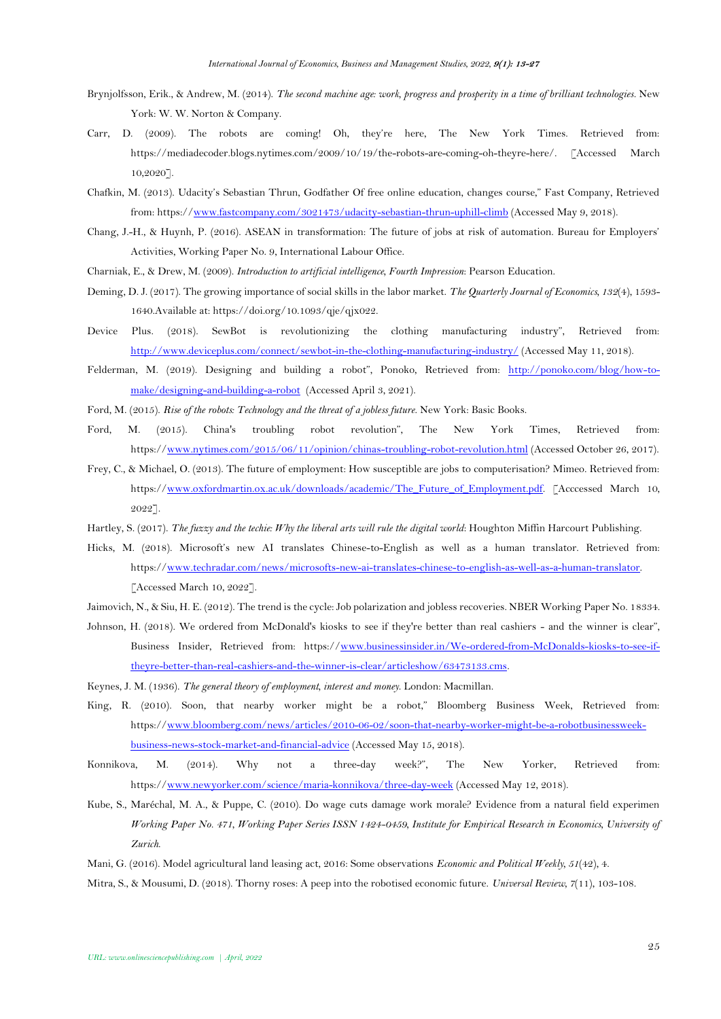- <span id="page-12-0"></span>Brynjolfsson, Erik., & Andrew, M. (2014). *The second machine age: work, progress and prosperity in a time of brilliant technologies*. New York: W. W. Norton & Company.
- <span id="page-12-13"></span>Carr, D. (2009). The robots are coming! Oh, they're here, The New York Times. Retrieved from: https://mediadecoder.blogs.nytimes.com/2009/10/19/the-robots-are-coming-oh-theyre-here/. [Accessed March 10,2020].
- <span id="page-12-10"></span>Chafkin, M. (2013). Udacity's Sebastian Thrun, Godfather Of free online education, changes course," Fast Company, Retrieved from: https:/[/www.fastcompany.com/3021473/udacity-sebastian-thrun-uphill-climb](http://www.fastcompany.com/3021473/udacity-sebastian-thrun-uphill-climb) (Accessed May 9, 2018).
- <span id="page-12-14"></span>Chang, J.-H., & Huynh, P. (2016). ASEAN in transformation: The future of jobs at risk of automation. Bureau for Employers' Activities, Working Paper No. 9, International Labour Office.
- <span id="page-12-4"></span>Charniak, E., & Drew, M. (2009). *Introduction to artificial intelligence, Fourth Impression*: Pearson Education.
- <span id="page-12-1"></span>Deming, D. J. (2017). The growing importance of social skills in the labor market. *The Quarterly Journal of Economics, 132*(4), 1593- 1640.Available at: https://doi.org/10.1093/qje/qjx022.
- <span id="page-12-16"></span>Device Plus. (2018). SewBot is revolutionizing the clothing manufacturing industry", Retrieved from: <http://www.deviceplus.com/connect/sewbot-in-the-clothing-manufacturing-industry/> (Accessed May 11, 2018).
- <span id="page-12-17"></span>Felderman, M. (2019). Designing and building a robot", Ponoko, Retrieved from: [http://ponoko.com/blog/how-to](http://ponoko.com/blog/how-to-make/designing-and-building-a-robot)[make/designing-and-building-a-robot](http://ponoko.com/blog/how-to-make/designing-and-building-a-robot) (Accessed April 3, 2021).
- <span id="page-12-5"></span>Ford, M. (2015). *Rise of the robots: Technology and the threat of a jobless future*. New York: Basic Books.
- <span id="page-12-8"></span>Ford, M. (2015). China's troubling robot revolution", The New York Times, Retrieved from: https:/[/www.nytimes.com/2015/06/11/opinion/chinas-troubling-robot-revolution.html](http://www.nytimes.com/2015/06/11/opinion/chinas-troubling-robot-revolution.html) (Accessed October 26, 2017).
- <span id="page-12-15"></span>Frey, C., & Michael, O. (2013). The future of employment: How susceptible are jobs to computerisation? Mimeo. Retrieved from: https:/[/www.oxfordmartin.ox.ac.uk/downloads/academic/The\\_Future\\_of\\_Employment.pdf.](http://www.oxfordmartin.ox.ac.uk/downloads/academic/The_Future_of_Employment.pdf) [Acccessed March 10, 2022].
- <span id="page-12-2"></span>Hartley, S. (2017). *The fuzzy and the techie: Why the liberal arts will rule the digital world*: Houghton Miffin Harcourt Publishing.
- <span id="page-12-12"></span>Hicks, M. (2018). Microsoft's new AI translates Chinese-to-English as well as a human translator. Retrieved from: https:/[/www.techradar.com/news/microsofts-new-ai-translates-chinese-to-english-as-well-as-a-human-translator.](http://www.techradar.com/news/microsofts-new-ai-translates-chinese-to-english-as-well-as-a-human-translator)  [Accessed March 10, 2022].
- <span id="page-12-9"></span>Jaimovich, N., & Siu, H. E. (2012). The trend is the cycle: Job polarization and jobless recoveries. NBER Working Paper No. 18334.
- <span id="page-12-11"></span>Johnson, H. (2018). We ordered from McDonald's kiosks to see if they're better than real cashiers - and the winner is clear", Business Insider, Retrieved from: https:/[/www.businessinsider.in/We-ordered-from-McDonalds-kiosks-to-see-if](http://www.businessinsider.in/We-ordered-from-McDonalds-kiosks-to-see-if-theyre-better-than-real-cashiers-and-the-winner-is-clear/articleshow/63473133.cms)[theyre-better-than-real-cashiers-and-the-winner-is-clear/articleshow/63473133.cms.](http://www.businessinsider.in/We-ordered-from-McDonalds-kiosks-to-see-if-theyre-better-than-real-cashiers-and-the-winner-is-clear/articleshow/63473133.cms)
- <span id="page-12-18"></span>Keynes, J. M. (1936). *The general theory of employment, interest and money*. London: Macmillan.
- <span id="page-12-7"></span>King, R. (2010). Soon, that nearby worker might be a robot," Bloomberg Business Week, Retrieved from: https:/[/www.bloomberg.com/news/articles/2010-06-02/soon-that-nearby-worker-might-be-a-robotbusinessweek](http://www.bloomberg.com/news/articles/2010-06-02/soon-that-nearby-worker-might-be-a-robotbusinessweek-business-news-stock-market-and-financial-advice)[business-news-stock-market-and-financial-advice](http://www.bloomberg.com/news/articles/2010-06-02/soon-that-nearby-worker-might-be-a-robotbusinessweek-business-news-stock-market-and-financial-advice) (Accessed May 15, 2018).
- <span id="page-12-19"></span>Konnikova, M. (2014). Why not a three-day week?", The New Yorker, Retrieved from: https:/[/www.newyorker.com/science/maria-konnikova/three-day-week](http://www.newyorker.com/science/maria-konnikova/three-day-week) (Accessed May 12, 2018).
- <span id="page-12-20"></span>Kube, S., Maréchal, M. A., & Puppe, C. (2010). Do wage cuts damage work morale? Evidence from a natural field experimen *Working Paper No. 471, Working Paper Series ISSN 1424-0459, Institute for Empirical Research in Economics, University of Zurich*.
- <span id="page-12-6"></span>Mani, G. (2016). Model agricultural land leasing act, 2016: Some observations *Economic and Political Weekly, 51*(42), 4.
- <span id="page-12-3"></span>Mitra, S., & Mousumi, D. (2018). Thorny roses: A peep into the robotised economic future. *Universal Review, 7*(11), 103-108.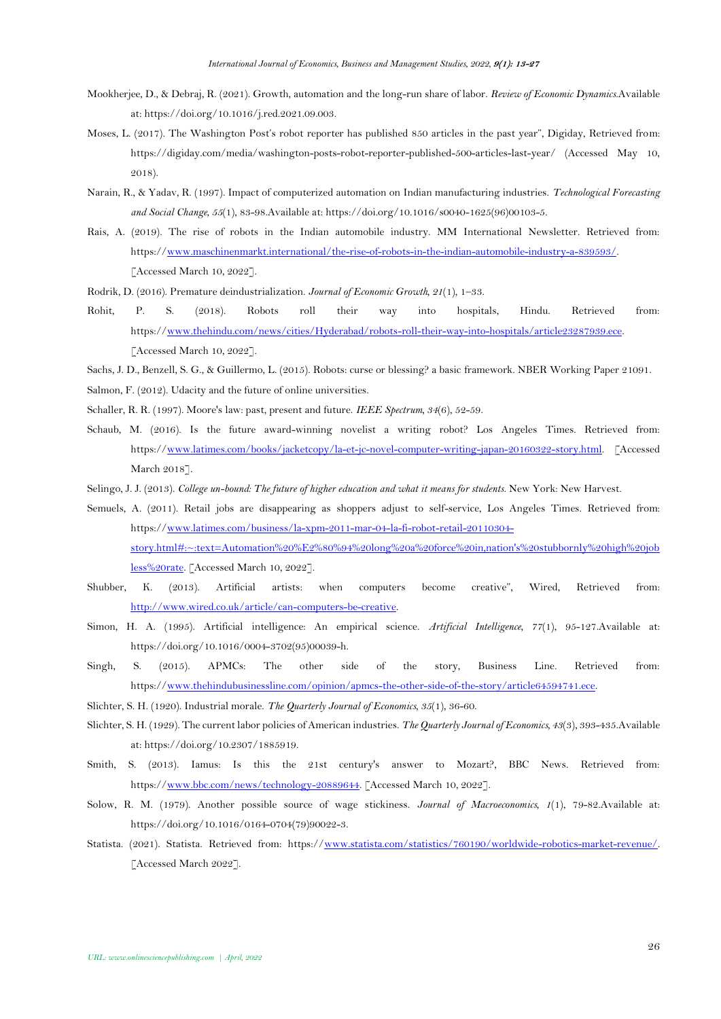- <span id="page-13-1"></span>Mookherjee, D., & Debraj, R. (2021). Growth, automation and the long-run share of labor. *Review of Economic Dynamics*.Available at: https://doi.org/10.1016/j.red.2021.09.003.
- <span id="page-13-9"></span>Moses, L. (2017). The Washington Post's robot reporter has published 850 articles in the past year", Digiday, Retrieved from: https://digiday.com/media/washington-posts-robot-reporter-published-500-articles-last-year/ (Accessed May 10, 2018).
- <span id="page-13-12"></span>Narain, R., & Yadav, R. (1997). Impact of computerized automation on Indian manufacturing industries. *Technological Forecasting and Social Change, 55*(1), 83-98.Available at: https://doi.org/10.1016/s0040-1625(96)00103-5.
- <span id="page-13-14"></span>Rais, A. (2019). The rise of robots in the Indian automobile industry. MM International Newsletter. Retrieved from: https:/[/www.maschinenmarkt.international/the-rise-of-robots-in-the-indian-automobile-industry-a-839593/.](http://www.maschinenmarkt.international/the-rise-of-robots-in-the-indian-automobile-industry-a-839593/) [Accessed March 10, 2022].
- <span id="page-13-15"></span>Rodrik, D. (2016). Premature deindustrialization. *Journal of Economic Growth, 21*(1), 1–33.
- <span id="page-13-13"></span>Rohit, P. S. (2018). Robots roll their way into hospitals, Hindu. Retrieved from: https:/[/www.thehindu.com/news/cities/Hyderabad/robots-roll-their-way-into-hospitals/article23287939.ece.](http://www.thehindu.com/news/cities/Hyderabad/robots-roll-their-way-into-hospitals/article23287939.ece)  [Accessed March 10, 2022].
- <span id="page-13-0"></span>Sachs, J. D., Benzell, S. G., & Guillermo, L. (2015). Robots: curse or blessing? a basic framework. NBER Working Paper 21091.
- <span id="page-13-6"></span>Salmon, F. (2012). Udacity and the future of online universities.
- <span id="page-13-4"></span>Schaller, R. R. (1997). Moore's law: past, present and future. *IEEE Spectrum, 34*(6), 52-59.
- <span id="page-13-8"></span>Schaub, M. (2016). Is the future award-winning novelist a writing robot? Los Angeles Times. Retrieved from: https:/[/www.latimes.com/books/jacketcopy/la-et-jc-novel-computer-writing-japan-20160322-story.html.](http://www.latimes.com/books/jacketcopy/la-et-jc-novel-computer-writing-japan-20160322-story.html) [Accessed March 2018].
- <span id="page-13-7"></span>Selingo, J. J. (2013). *College un-bound: The future of higher education and what it means for students*. New York: New Harvest.
- <span id="page-13-5"></span>Semuels, A. (2011). Retail jobs are disappearing as shoppers adjust to self-service, Los Angeles Times. Retrieved from: https:/[/www.latimes.com/business/la-xpm-2011-mar-04-la-fi-robot-retail-20110304](http://www.latimes.com/business/la-xpm-2011-mar-04-la-fi-robot-retail-20110304-story.html#:~:text=Automation%20%E2%80%94%20long%20a%20force%20in,nation) [story.html#:~:text=Automation%20%E2%80%94%20long%20a%20force%20in,nation's%20stubbornly%20high%20job](http://www.latimes.com/business/la-xpm-2011-mar-04-la-fi-robot-retail-20110304-story.html#:~:text=Automation%20%E2%80%94%20long%20a%20force%20in,nation) [less%20rate.](http://www.latimes.com/business/la-xpm-2011-mar-04-la-fi-robot-retail-20110304-story.html#:~:text=Automation%20%E2%80%94%20long%20a%20force%20in,nation) [Accessed March 10, 2022].
- <span id="page-13-10"></span>Shubber, K. (2013). Artificial artists: when computers become creative", Wired, Retrieved from: [http://www.wired.co.uk/article/can-computers-be-creative.](http://www.wired.co.uk/article/can-computers-be-creative)
- <span id="page-13-2"></span>Simon, H. A. (1995). Artificial intelligence: An empirical science. *Artificial Intelligence, 77*(1), 95-127.Available at: https://doi.org/10.1016/0004-3702(95)00039-h.
- <span id="page-13-3"></span>Singh, S. (2015). APMCs: The other side of the story, Business Line. Retrieved from: https:/[/www.thehindubusinessline.com/opinion/apmcs-the-other-side-of-the-story/article64594741.ece.](http://www.thehindubusinessline.com/opinion/apmcs-the-other-side-of-the-story/article64594741.ece)
- <span id="page-13-17"></span>Slichter, S. H. (1920). Industrial morale. *The Quarterly Journal of Economics, 35*(1), 36-60.
- <span id="page-13-18"></span>Slichter, S. H. (1929). The current labor policies of American industries. *The Quarterly Journal of Economics, 43*(3), 393-435.Available at: https://doi.org/10.2307/1885919.
- <span id="page-13-11"></span>Smith, S. (2013). Iamus: Is this the 21st century's answer to Mozart?, BBC News. Retrieved from: https:/[/www.bbc.com/news/technology-20889644.](http://www.bbc.com/news/technology-20889644) [Accessed March 10, 2022].
- <span id="page-13-19"></span>Solow, R. M. (1979). Another possible source of wage stickiness. *Journal of Macroeconomics, 1*(1), 79-82.Available at: https://doi.org/10.1016/0164-0704(79)90022-3.
- <span id="page-13-16"></span>Statista. (2021). Statista. Retrieved from: https:/[/www.statista.com/statistics/760190/worldwide-robotics-market-revenue/.](http://www.statista.com/statistics/760190/worldwide-robotics-market-revenue/) [Accessed March 2022].